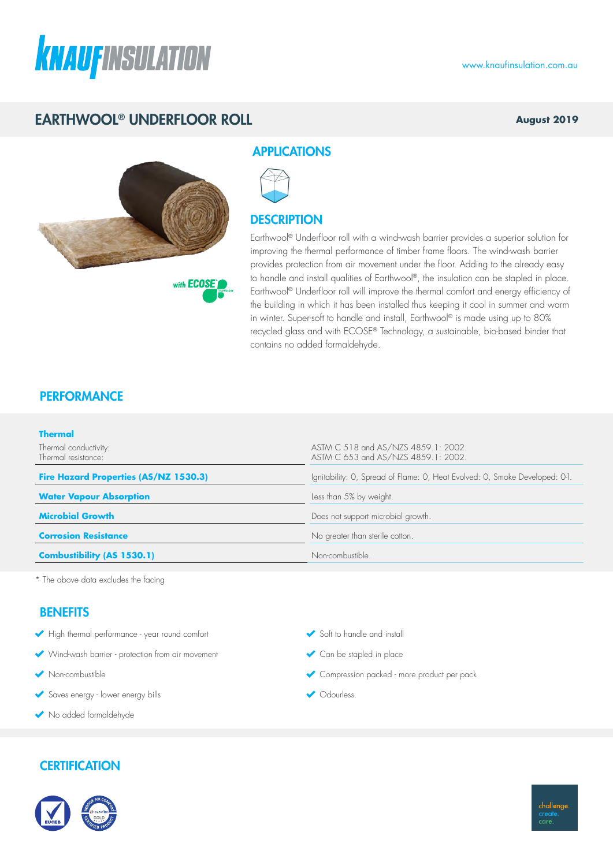

## EARTHWOOL® UNDERFLOOR ROLL

#### **August 2019**



with **ECOSE** 

### **APPLICATIONS**



### **DESCRIPTION**

Earthwool® Underfloor roll with a wind-wash barrier provides a superior solution for improving the thermal performance of timber frame floors. The wind-wash barrier provides protection from air movement under the floor. Adding to the already easy to handle and install qualities of Earthwool®, the insulation can be stapled in place. Earthwool® Underfloor roll will improve the thermal comfort and energy efficiency of the building in which it has been installed thus keeping it cool in summer and warm in winter. Super-soft to handle and install, Earthwool® is made using up to 80% recycled glass and with ECOSE® Technology, a sustainable, bio-based binder that contains no added formaldehyde.

## **PERFORMANCE**

| <b>Thermal</b>                               |                                                                             |  |  |  |
|----------------------------------------------|-----------------------------------------------------------------------------|--|--|--|
| Thermal conductivity:<br>Thermal resistance: | ASTM C 518 and AS/NZS 4859.1: 2002.<br>ASTM C 653 and AS/NZS 4859.1: 2002.  |  |  |  |
| <b>Fire Hazard Properties (AS/NZ 1530.3)</b> | Ignitability: O, Spread of Flame: O, Heat Evolved: O, Smoke Developed: O-1. |  |  |  |
| <b>Water Vapour Absorption</b>               | Less than 5% by weight.                                                     |  |  |  |
| <b>Microbial Growth</b>                      | Does not support microbial growth.                                          |  |  |  |
| <b>Corrosion Resistance</b>                  | No greater than sterile cotton.                                             |  |  |  |
| <b>Combustibility (AS 1530.1)</b>            | Non-combustible.                                                            |  |  |  |

\* The above data excludes the facing

### **BENEFITS**

- High thermal performance year round comfort
- Wind-wash barrier protection from air movement
- Non-combustible
- Saves energy lower energy bills
- No added formaldehyde

# Soft to handle and install

- Can be stapled in place
- Compression packed more product per pack
- Odourless.

## **CERTIFICATION**



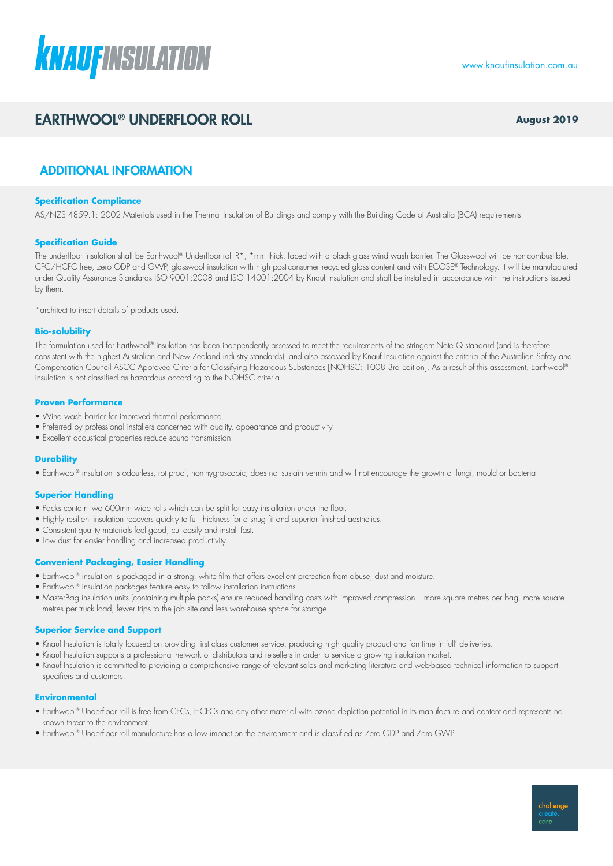

## EARTHWOOL® UNDERFLOOR ROLL **August 2019**

## ADDITIONAL INFORMATION

#### **Specification Compliance**

AS/NZS 4859.1: 2002 Materials used in the Thermal Insulation of Buildings and comply with the Building Code of Australia (BCA) requirements.

#### **Specification Guide**

The underfloor insulation shall be Earthwool® Underfloor roll R\*, \*mm thick, faced with a black glass wind wash barrier. The Glasswool will be non-combustible, CFC/HCFC free, zero ODP and GWP, glasswool insulation with high post-consumer recycled glass content and with ECOSE® Technology. It will be manufactured under Quality Assurance Standards ISO 9001:2008 and ISO 14001:2004 by Knauf Insulation and shall be installed in accordance with the instructions issued by them.

\*architect to insert details of products used.

#### **Bio-solubility**

The formulation used for Earthwool® insulation has been independently assessed to meet the requirements of the stringent Note Q standard (and is therefore consistent with the highest Australian and New Zealand industry standards), and also assessed by Knauf Insulation against the criteria of the Australian Safety and Compensation Council ASCC Approved Criteria for Classifying Hazardous Substances [NOHSC: 1008 3rd Edition]. As a result of this assessment, Earthwool® insulation is not classified as hazardous according to the NOHSC criteria.

#### **Proven Performance**

- Wind wash barrier for improved thermal performance.
- Preferred by professional installers concerned with quality, appearance and productivity.
- Excellent acoustical properties reduce sound transmission.

#### **Durability**

• Earthwool® insulation is odourless, rot proof, non-hygroscopic, does not sustain vermin and will not encourage the growth of fungi, mould or bacteria.

#### **Superior Handling**

- Packs contain two 600mm wide rolls which can be split for easy installation under the floor.
- Highly resilient insulation recovers quickly to full thickness for a snug fit and superior finished aesthetics.
- Consistent quality materials feel good, cut easily and install fast.
- Low dust for easier handling and increased productivity.

#### **Convenient Packaging, Easier Handling**

- Earthwool® insulation is packaged in a strong, white film that offers excellent protection from abuse, dust and moisture.
- Earthwool® insulation packages feature easy to follow installation instructions.
- MasterBag insulation units (containing multiple packs) ensure reduced handling costs with improved compression more square metres per bag, more square metres per truck load, fewer trips to the job site and less warehouse space for storage.

#### **Superior Service and Support**

- Knauf Insulation is totally focused on providing first class customer service, producing high quality product and 'on time in full' deliveries.
- Knauf Insulation supports a professional network of distributors and re-sellers in order to service a growing insulation market.
- Knauf Insulation is committed to providing a comprehensive range of relevant sales and marketing literature and web-based technical information to support specifiers and customers.

#### **Environmental**

- Earthwool® Underfloor roll is free from CFCs, HCFCs and any other material with ozone depletion potential in its manufacture and content and represents no known threat to the environment.
- Earthwool® Underfloor roll manufacture has a low impact on the environment and is classified as Zero ODP and Zero GWP.